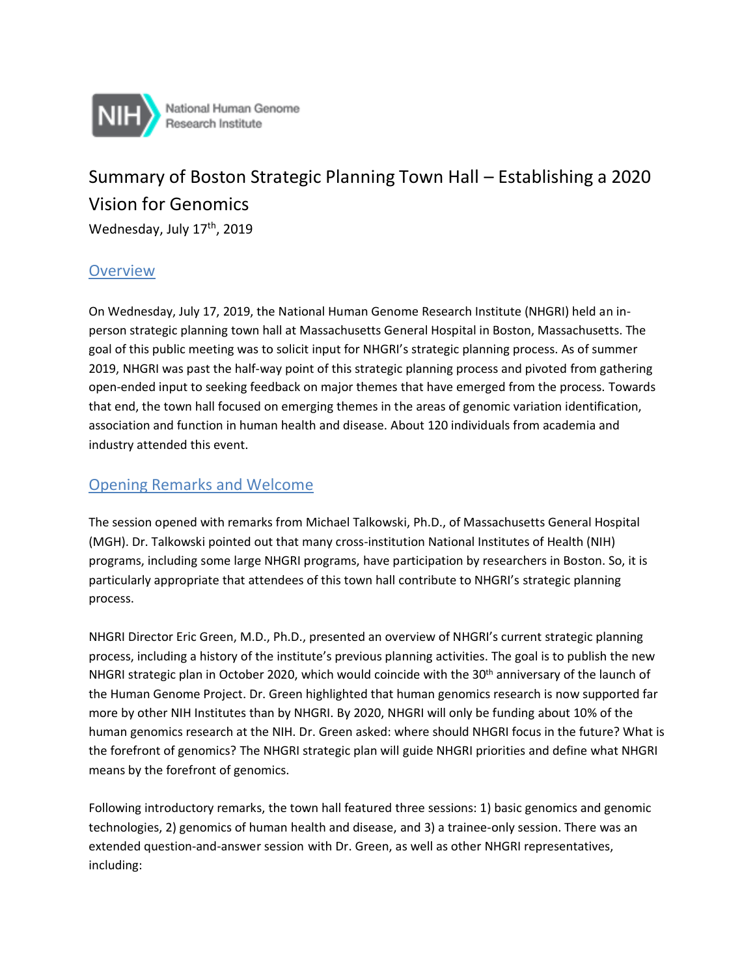

National Human Genome Research Institute

# Summary of Boston Strategic Planning Town Hall – Establishing a 2020 Vision for Genomics

Wednesday, July 17<sup>th</sup>, 2019

#### **Overview**

On Wednesday, July 17, 2019, the National Human Genome Research Institute (NHGRI) held an inperson strategic planning town hall at Massachusetts General Hospital in Boston, Massachusetts. The goal of this public meeting was to solicit input for NHGRI's strategic planning process. As of summer 2019, NHGRI was past the half-way point of this strategic planning process and pivoted from gathering open-ended input to seeking feedback on major themes that have emerged from the process. Towards that end, the town hall focused on emerging themes in the areas of genomic variation identification, association and function in human health and disease. About 120 individuals from academia and industry attended this event.

#### Opening Remarks and Welcome

The session opened with remarks from Michael Talkowski, Ph.D., of Massachusetts General Hospital (MGH). Dr. Talkowski pointed out that many cross-institution National Institutes of Health (NIH) programs, including some large NHGRI programs, have participation by researchers in Boston. So, it is particularly appropriate that attendees of this town hall contribute to NHGRI's strategic planning process.

NHGRI Director Eric Green, M.D., Ph.D., presented an overview of NHGRI's current strategic planning process, including a history of the institute's previous planning activities. The goal is to publish the new NHGRI strategic plan in October 2020, which would coincide with the 30<sup>th</sup> anniversary of the launch of the Human Genome Project. Dr. Green highlighted that human genomics research is now supported far more by other NIH Institutes than by NHGRI. By 2020, NHGRI will only be funding about 10% of the human genomics research at the NIH. Dr. Green asked: where should NHGRI focus in the future? What is the forefront of genomics? The NHGRI strategic plan will guide NHGRI priorities and define what NHGRI means by the forefront of genomics.

Following introductory remarks, the town hall featured three sessions: 1) basic genomics and genomic technologies, 2) genomics of human health and disease, and 3) a trainee-only session. There was an extended question-and-answer session with Dr. Green, as well as other NHGRI representatives, including: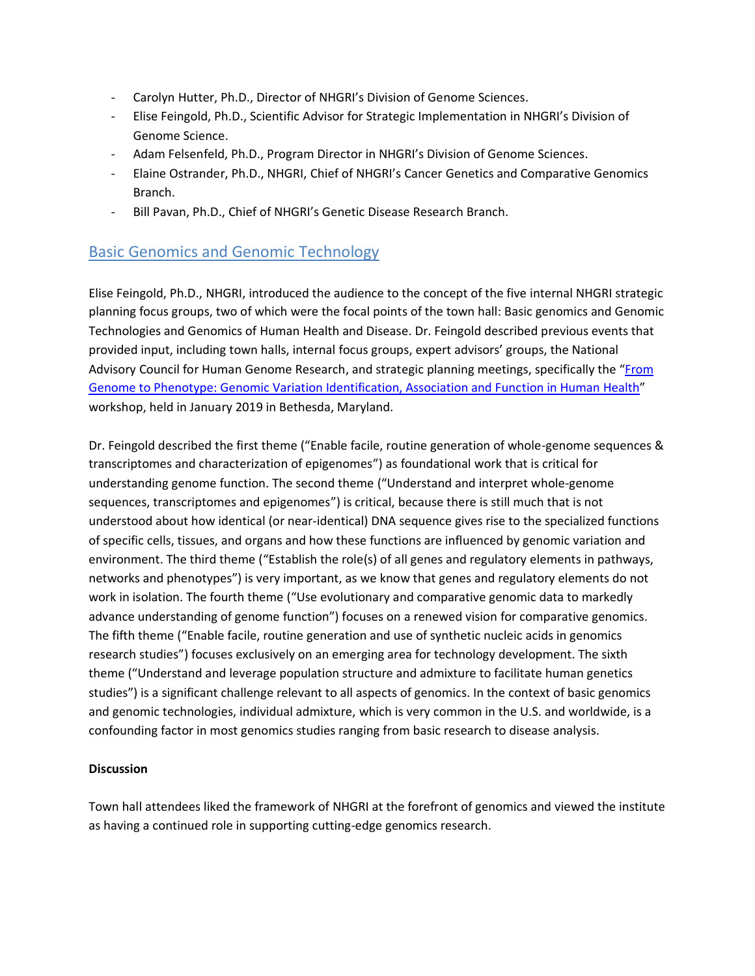- Carolyn Hutter, Ph.D., Director of NHGRI's Division of Genome Sciences.
- Elise Feingold, Ph.D., Scientific Advisor for Strategic Implementation in NHGRI's Division of Genome Science.
- Adam Felsenfeld, Ph.D., Program Director in NHGRI's Division of Genome Sciences.
- Elaine Ostrander, Ph.D., NHGRI, Chief of NHGRI's Cancer Genetics and Comparative Genomics Branch.
- Bill Pavan, Ph.D., Chief of NHGRI's Genetic Disease Research Branch.

## Basic Genomics and Genomic Technology

Elise Feingold, Ph.D., NHGRI, introduced the audience to the concept of the five internal NHGRI strategic planning focus groups, two of which were the focal points of the town hall: Basic genomics and Genomic Technologies and Genomics of Human Health and Disease. Dr. Feingold described previous events that provided input, including town halls, internal focus groups, expert advisors' groups, the National Advisory Council for Human Genome Research, and strategic planning meetings, specifically the "[From](https://www.genome.gov/event-calendar/From-Genome-to-Phenotype-Genomic-Variation-Identification-Association-Function-in-Human-Health-Disease)  [Genome to Phenotype: Genomic Variation Identification, Association and Function in Human Health](https://www.genome.gov/event-calendar/From-Genome-to-Phenotype-Genomic-Variation-Identification-Association-Function-in-Human-Health-Disease)" workshop, held in January 2019 in Bethesda, Maryland.

Dr. Feingold described the first theme ("Enable facile, routine generation of whole-genome sequences & transcriptomes and characterization of epigenomes") as foundational work that is critical for understanding genome function. The second theme ("Understand and interpret whole-genome sequences, transcriptomes and epigenomes") is critical, because there is still much that is not understood about how identical (or near-identical) DNA sequence gives rise to the specialized functions of specific cells, tissues, and organs and how these functions are influenced by genomic variation and environment. The third theme ("Establish the role(s) of all genes and regulatory elements in pathways, networks and phenotypes") is very important, as we know that genes and regulatory elements do not work in isolation. The fourth theme ("Use evolutionary and comparative genomic data to markedly advance understanding of genome function") focuses on a renewed vision for comparative genomics. The fifth theme ("Enable facile, routine generation and use of synthetic nucleic acids in genomics research studies") focuses exclusively on an emerging area for technology development. The sixth theme ("Understand and leverage population structure and admixture to facilitate human genetics studies") is a significant challenge relevant to all aspects of genomics. In the context of basic genomics and genomic technologies, individual admixture, which is very common in the U.S. and worldwide, is a confounding factor in most genomics studies ranging from basic research to disease analysis.

#### **Discussion**

Town hall attendees liked the framework of NHGRI at the forefront of genomics and viewed the institute as having a continued role in supporting cutting-edge genomics research.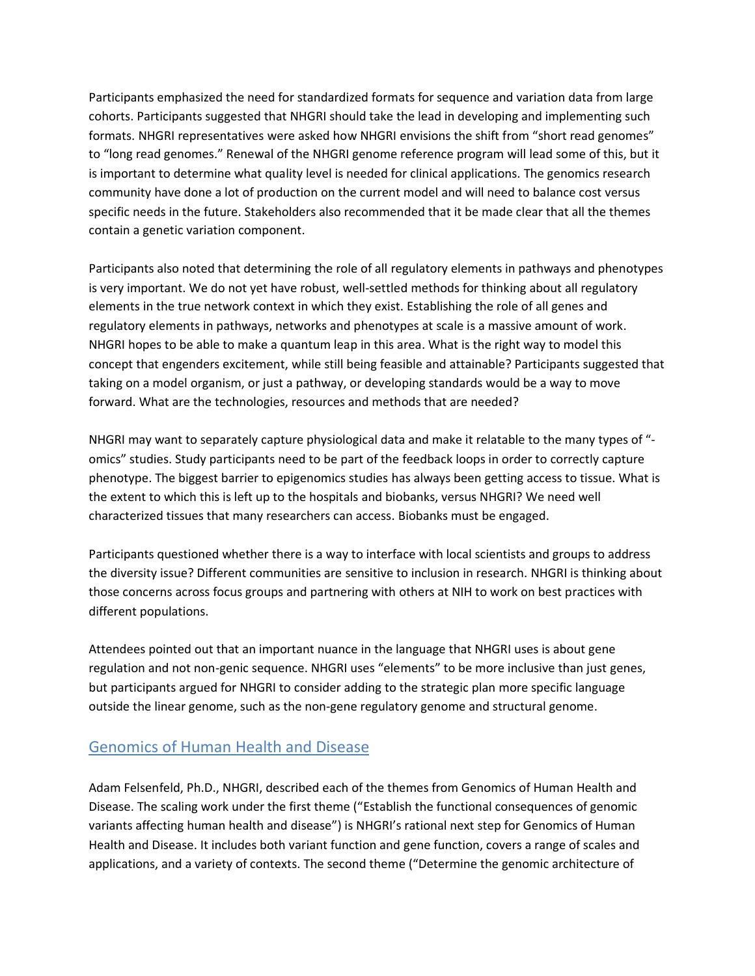Participants emphasized the need for standardized formats for sequence and variation data from large cohorts. Participants suggested that NHGRI should take the lead in developing and implementing such formats. NHGRI representatives were asked how NHGRI envisions the shift from "short read genomes" to "long read genomes." Renewal of the NHGRI genome reference program will lead some of this, but it is important to determine what quality level is needed for clinical applications. The genomics research community have done a lot of production on the current model and will need to balance cost versus specific needs in the future. Stakeholders also recommended that it be made clear that all the themes contain a genetic variation component.

Participants also noted that determining the role of all regulatory elements in pathways and phenotypes is very important. We do not yet have robust, well-settled methods for thinking about all regulatory elements in the true network context in which they exist. Establishing the role of all genes and regulatory elements in pathways, networks and phenotypes at scale is a massive amount of work. NHGRI hopes to be able to make a quantum leap in this area. What is the right way to model this concept that engenders excitement, while still being feasible and attainable? Participants suggested that taking on a model organism, or just a pathway, or developing standards would be a way to move forward. What are the technologies, resources and methods that are needed?

NHGRI may want to separately capture physiological data and make it relatable to the many types of " omics" studies. Study participants need to be part of the feedback loops in order to correctly capture phenotype. The biggest barrier to epigenomics studies has always been getting access to tissue. What is the extent to which this is left up to the hospitals and biobanks, versus NHGRI? We need well characterized tissues that many researchers can access. Biobanks must be engaged.

Participants questioned whether there is a way to interface with local scientists and groups to address the diversity issue? Different communities are sensitive to inclusion in research. NHGRI is thinking about those concerns across focus groups and partnering with others at NIH to work on best practices with different populations.

Attendees pointed out that an important nuance in the language that NHGRI uses is about gene regulation and not non-genic sequence. NHGRI uses "elements" to be more inclusive than just genes, but participants argued for NHGRI to consider adding to the strategic plan more specific language outside the linear genome, such as the non-gene regulatory genome and structural genome.

### Genomics of Human Health and Disease

Adam Felsenfeld, Ph.D., NHGRI, described each of the themes from Genomics of Human Health and Disease. The scaling work under the first theme ("Establish the functional consequences of genomic variants affecting human health and disease") is NHGRI's rational next step for Genomics of Human Health and Disease. It includes both variant function and gene function, covers a range of scales and applications, and a variety of contexts. The second theme ("Determine the genomic architecture of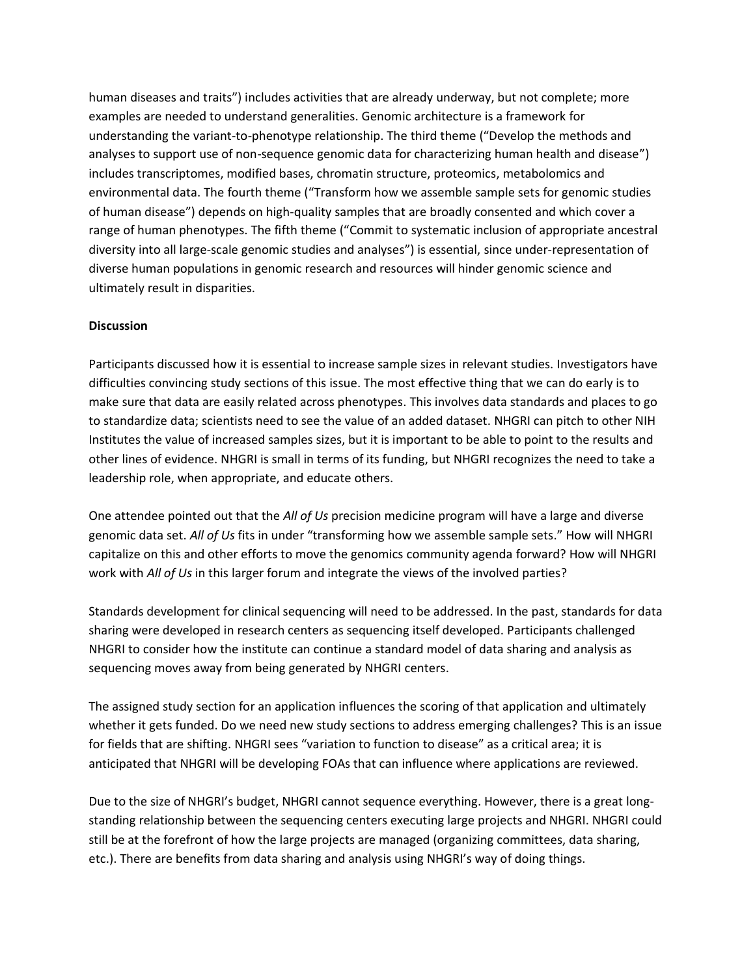human diseases and traits") includes activities that are already underway, but not complete; more examples are needed to understand generalities. Genomic architecture is a framework for understanding the variant-to-phenotype relationship. The third theme ("Develop the methods and analyses to support use of non-sequence genomic data for characterizing human health and disease") includes transcriptomes, modified bases, chromatin structure, proteomics, metabolomics and environmental data. The fourth theme ("Transform how we assemble sample sets for genomic studies of human disease") depends on high-quality samples that are broadly consented and which cover a range of human phenotypes. The fifth theme ("Commit to systematic inclusion of appropriate ancestral diversity into all large-scale genomic studies and analyses") is essential, since under-representation of diverse human populations in genomic research and resources will hinder genomic science and ultimately result in disparities.

#### **Discussion**

Participants discussed how it is essential to increase sample sizes in relevant studies. Investigators have difficulties convincing study sections of this issue. The most effective thing that we can do early is to make sure that data are easily related across phenotypes. This involves data standards and places to go to standardize data; scientists need to see the value of an added dataset. NHGRI can pitch to other NIH Institutes the value of increased samples sizes, but it is important to be able to point to the results and other lines of evidence. NHGRI is small in terms of its funding, but NHGRI recognizes the need to take a leadership role, when appropriate, and educate others.

One attendee pointed out that the *All of Us* precision medicine program will have a large and diverse genomic data set. *All of Us* fits in under "transforming how we assemble sample sets." How will NHGRI capitalize on this and other efforts to move the genomics community agenda forward? How will NHGRI work with *All of Us* in this larger forum and integrate the views of the involved parties?

Standards development for clinical sequencing will need to be addressed. In the past, standards for data sharing were developed in research centers as sequencing itself developed. Participants challenged NHGRI to consider how the institute can continue a standard model of data sharing and analysis as sequencing moves away from being generated by NHGRI centers.

The assigned study section for an application influences the scoring of that application and ultimately whether it gets funded. Do we need new study sections to address emerging challenges? This is an issue for fields that are shifting. NHGRI sees "variation to function to disease" as a critical area; it is anticipated that NHGRI will be developing FOAs that can influence where applications are reviewed.

Due to the size of NHGRI's budget, NHGRI cannot sequence everything. However, there is a great longstanding relationship between the sequencing centers executing large projects and NHGRI. NHGRI could still be at the forefront of how the large projects are managed (organizing committees, data sharing, etc.). There are benefits from data sharing and analysis using NHGRI's way of doing things.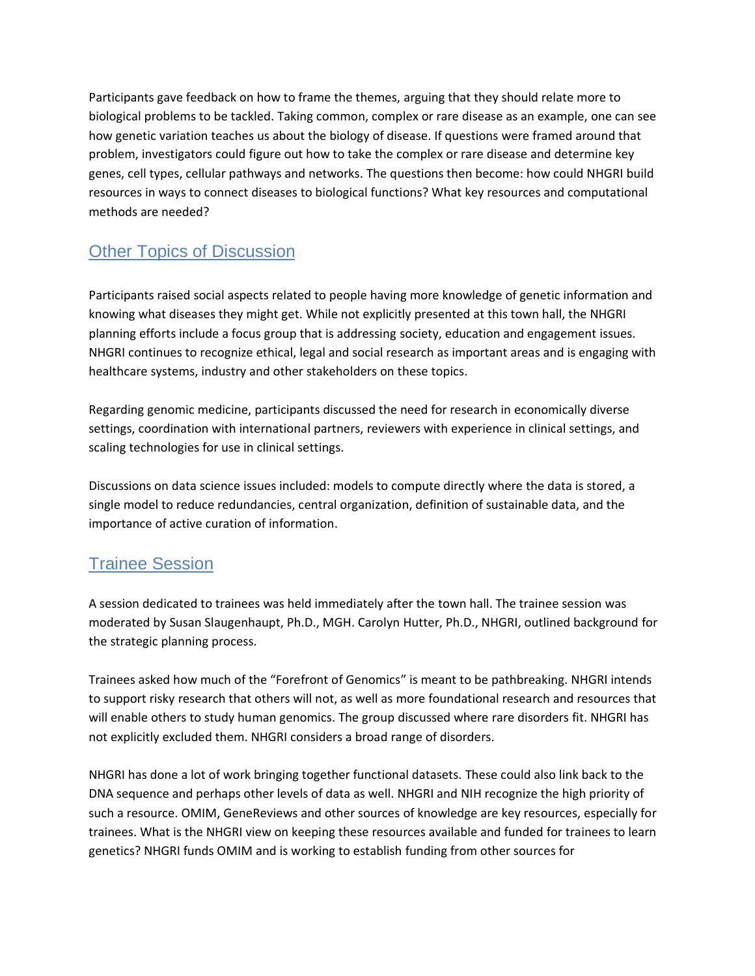Participants gave feedback on how to frame the themes, arguing that they should relate more to biological problems to be tackled. Taking common, complex or rare disease as an example, one can see how genetic variation teaches us about the biology of disease. If questions were framed around that problem, investigators could figure out how to take the complex or rare disease and determine key genes, cell types, cellular pathways and networks. The questions then become: how could NHGRI build resources in ways to connect diseases to biological functions? What key resources and computational methods are needed?

# Other Topics of Discussion

Participants raised social aspects related to people having more knowledge of genetic information and knowing what diseases they might get. While not explicitly presented at this town hall, the NHGRI planning efforts include a focus group that is addressing society, education and engagement issues. NHGRI continues to recognize ethical, legal and social research as important areas and is engaging with healthcare systems, industry and other stakeholders on these topics.

Regarding genomic medicine, participants discussed the need for research in economically diverse settings, coordination with international partners, reviewers with experience in clinical settings, and scaling technologies for use in clinical settings.

Discussions on data science issues included: models to compute directly where the data is stored, a single model to reduce redundancies, central organization, definition of sustainable data, and the importance of active curation of information.

## Trainee Session

A session dedicated to trainees was held immediately after the town hall. The trainee session was moderated by Susan Slaugenhaupt, Ph.D., MGH. Carolyn Hutter, Ph.D., NHGRI, outlined background for the strategic planning process.

Trainees asked how much of the "Forefront of Genomics" is meant to be pathbreaking. NHGRI intends to support risky research that others will not, as well as more foundational research and resources that will enable others to study human genomics. The group discussed where rare disorders fit. NHGRI has not explicitly excluded them. NHGRI considers a broad range of disorders.

NHGRI has done a lot of work bringing together functional datasets. These could also link back to the DNA sequence and perhaps other levels of data as well. NHGRI and NIH recognize the high priority of such a resource. OMIM, GeneReviews and other sources of knowledge are key resources, especially for trainees. What is the NHGRI view on keeping these resources available and funded for trainees to learn genetics? NHGRI funds OMIM and is working to establish funding from other sources for